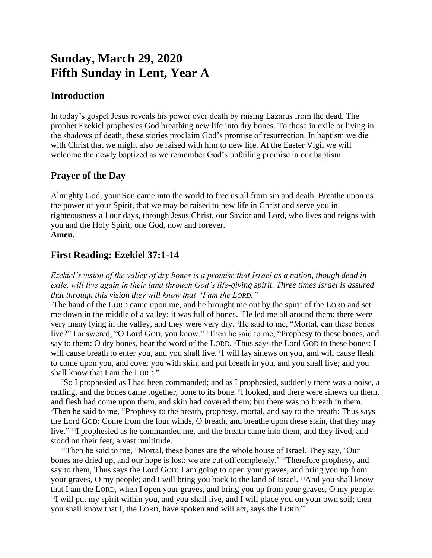# **Sunday, March 29, 2020 Fifth Sunday in Lent, Year A**

## **Introduction**

In today's gospel Jesus reveals his power over death by raising Lazarus from the dead. The prophet Ezekiel prophesies God breathing new life into dry bones. To those in exile or living in the shadows of death, these stories proclaim God's promise of resurrection. In baptism we die with Christ that we might also be raised with him to new life. At the Easter Vigil we will welcome the newly baptized as we remember God's unfailing promise in our baptism.

## **Prayer of the Day**

Almighty God, your Son came into the world to free us all from sin and death. Breathe upon us the power of your Spirit, that we may be raised to new life in Christ and serve you in righteousness all our days, through Jesus Christ, our Savior and Lord, who lives and reigns with you and the Holy Spirit, one God, now and forever. **Amen.**

## **First Reading: Ezekiel 37:1-14**

*Ezekiel's vision of the valley of dry bones is a promise that Israel as a nation, though dead in exile, will live again in their land through God's life-giving spirit. Three times Israel is assured that through this vision they will know that "I am the LORD."*

<sup>1</sup>The hand of the LORD came upon me, and he brought me out by the spirit of the LORD and set me down in the middle of a valley; it was full of bones. 2He led me all around them; there were very many lying in the valley, and they were very dry. 3He said to me, "Mortal, can these bones live?" I answered, "O Lord GOD, you know." <sup>4</sup>Then he said to me, "Prophesy to these bones, and say to them: O dry bones, hear the word of the LORD. <sup>5</sup>Thus says the Lord GOD to these bones: I will cause breath to enter you, and you shall live. I will lay sinews on you, and will cause flesh to come upon you, and cover you with skin, and put breath in you, and you shall live; and you shall know that I am the LORD."

<sup>7</sup>So I prophesied as I had been commanded; and as I prophesied, suddenly there was a noise, a rattling, and the bones came together, bone to its bone. <sup>8</sup>I looked, and there were sinews on them, and flesh had come upon them, and skin had covered them; but there was no breath in them. <sup>9</sup>Then he said to me, "Prophesy to the breath, prophesy, mortal, and say to the breath: Thus says the Lord GOD: Come from the four winds, O breath, and breathe upon these slain, that they may live." 10I prophesied as he commanded me, and the breath came into them, and they lived, and stood on their feet, a vast multitude.

<sup>11</sup>Then he said to me, "Mortal, these bones are the whole house of Israel. They say, 'Our bones are dried up, and our hope is lost; we are cut off completely.' 12Therefore prophesy, and say to them, Thus says the Lord GOD: I am going to open your graves, and bring you up from your graves, O my people; and I will bring you back to the land of Israel. 13And you shall know that I am the LORD, when I open your graves, and bring you up from your graves, O my people.  $14$ I will put my spirit within you, and you shall live, and I will place you on your own soil; then you shall know that I, the LORD, have spoken and will act, says the LORD."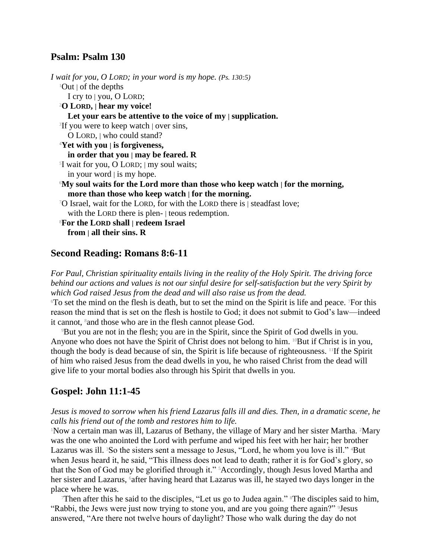### **Psalm: Psalm 130**

*I wait for you, O LORD; in your word is my hope. (Ps. 130:5)*  $1$ Out  $\vert$  of the depths I cry to | you, O LORD; <sup>2</sup>**O LORD, | hear my voice! Let your ears be attentive to the voice of my | supplication.** 3 If you were to keep watch | over sins, O LORD, | who could stand? <sup>4</sup>**Yet with you | is forgiveness, in order that you | may be feared. R** 5 I wait for you, O LORD; | my soul waits; in your word  $\vert$  is my hope. <sup>6</sup>**My soul waits for the Lord more than those who keep watch | for the morning, more than those who keep watch | for the morning.** <sup>7</sup>O Israel, wait for the LORD, for with the LORD there is | steadfast love; with the LORD there is plen- | teous redemption. <sup>8</sup>**For the LORD shall | redeem Israel from | all their sins. R**

#### **Second Reading: Romans 8:6-11**

*For Paul, Christian spirituality entails living in the reality of the Holy Spirit. The driving force behind our actions and values is not our sinful desire for self-satisfaction but the very Spirit by which God raised Jesus from the dead and will also raise us from the dead.*

<sup>6</sup>To set the mind on the flesh is death, but to set the mind on the Spirit is life and peace. 7For this reason the mind that is set on the flesh is hostile to God; it does not submit to God's law—indeed it cannot, <sup>8</sup> and those who are in the flesh cannot please God.

<sup>9</sup>But you are not in the flesh; you are in the Spirit, since the Spirit of God dwells in you. Anyone who does not have the Spirit of Christ does not belong to him. <sup>10</sup>But if Christ is in you, though the body is dead because of sin, the Spirit is life because of righteousness. 11If the Spirit of him who raised Jesus from the dead dwells in you, he who raised Christ from the dead will give life to your mortal bodies also through his Spirit that dwells in you.

### **Gospel: John 11:1-45**

#### *Jesus is moved to sorrow when his friend Lazarus falls ill and dies. Then, in a dramatic scene, he calls his friend out of the tomb and restores him to life.*

<sup>1</sup>Now a certain man was ill, Lazarus of Bethany, the village of Mary and her sister Martha. <sup>2</sup>Mary was the one who anointed the Lord with perfume and wiped his feet with her hair; her brother Lazarus was ill. <sup>3</sup>So the sisters sent a message to Jesus, "Lord, he whom you love is ill." <sup>4</sup>But when Jesus heard it, he said, "This illness does not lead to death; rather it is for God's glory, so that the Son of God may be glorified through it." 5Accordingly, though Jesus loved Martha and her sister and Lazarus, "after having heard that Lazarus was ill, he stayed two days longer in the place where he was.

Then after this he said to the disciples, "Let us go to Judea again." <sup>8</sup>The disciples said to him, "Rabbi, the Jews were just now trying to stone you, and are you going there again?" 9Jesus answered, "Are there not twelve hours of daylight? Those who walk during the day do not